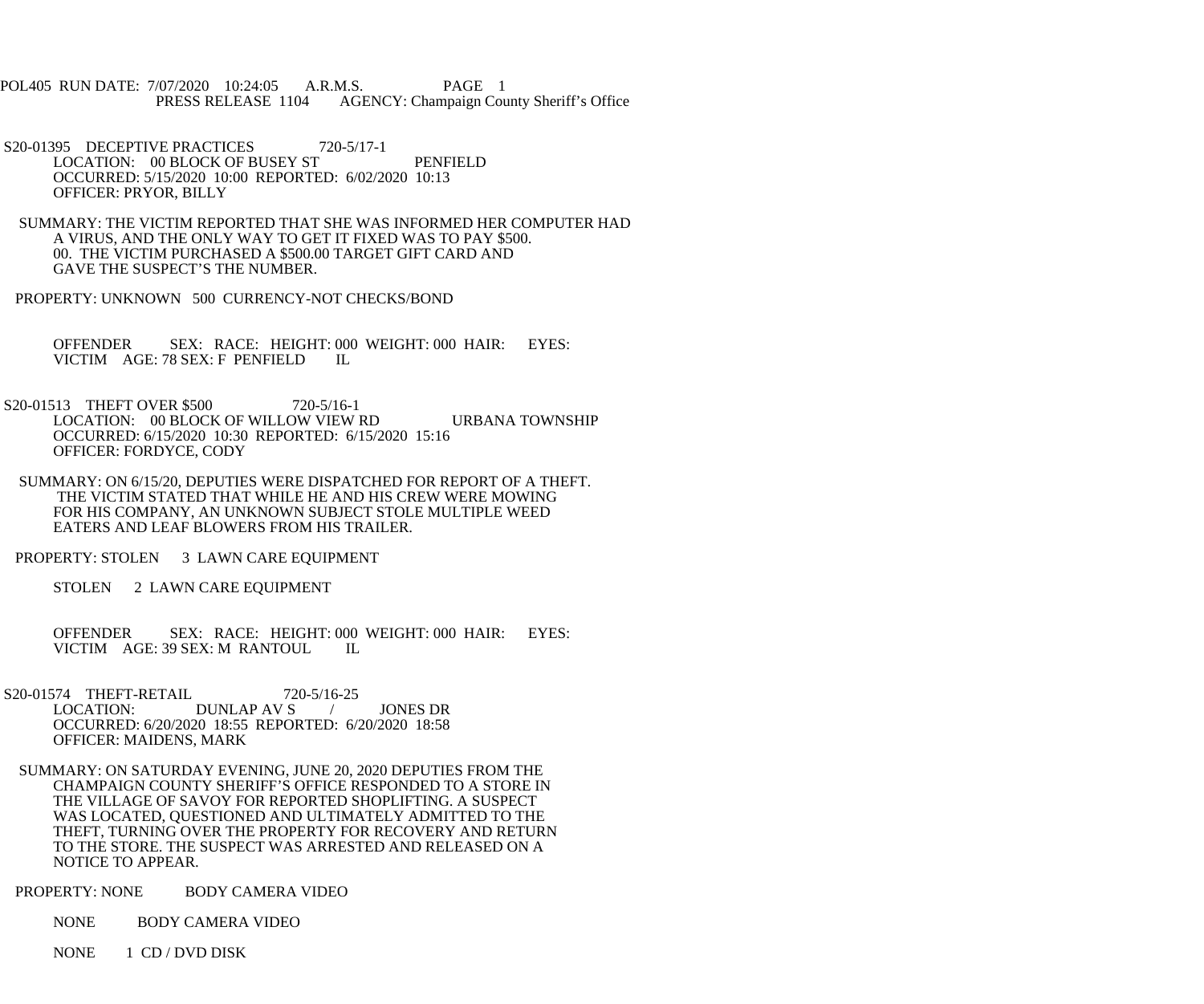POL405 RUN DATE: 7/07/2020 10:24:05 A.R.M.S. PAGE 1 PRESS RELEASE 1104 AGENCY: Champaign County Sheriff's Office

S20-01395 DECEPTIVE PRACTICES 720-5/17-1 LOCATION: 00 BLOCK OF BUSEY ST PENFIELD OCCURRED: 5/15/2020 10:00 REPORTED: 6/02/2020 10:13 OFFICER: PRYOR, BILLY

 SUMMARY: THE VICTIM REPORTED THAT SHE WAS INFORMED HER COMPUTER HAD A VIRUS, AND THE ONLY WAY TO GET IT FIXED WAS TO PAY \$500. 00. THE VICTIM PURCHASED A \$500.00 TARGET GIFT CARD AND GAVE THE SUSPECT'S THE NUMBER.

PROPERTY: UNKNOWN 500 CURRENCY-NOT CHECKS/BOND

 OFFENDER SEX: RACE: HEIGHT: 000 WEIGHT: 000 HAIR: EYES: VICTIM AGE: 78 SEX: F PENFIELD IL

S20-01513 THEFT OVER \$500 720-5/16-1 LOCATION: 00 BLOCK OF WILLOW VIEW RD URBANA TOWNSHIP OCCURRED: 6/15/2020 10:30 REPORTED: 6/15/2020 15:16 OFFICER: FORDYCE, CODY

 SUMMARY: ON 6/15/20, DEPUTIES WERE DISPATCHED FOR REPORT OF A THEFT. THE VICTIM STATED THAT WHILE HE AND HIS CREW WERE MOWING FOR HIS COMPANY, AN UNKNOWN SUBJECT STOLE MULTIPLE WEED EATERS AND LEAF BLOWERS FROM HIS TRAILER.

PROPERTY: STOLEN 3 LAWN CARE EQUIPMENT

STOLEN 2 LAWN CARE EQUIPMENT

 OFFENDER SEX: RACE: HEIGHT: 000 WEIGHT: 000 HAIR: EYES: VICTIM AGE: 39 SEX: M RANTOUL IL

S20-01574 THEFT-RETAIL 720-5/16-25<br>LOCATION: DUNLAP AV S DUNLAP AV S / JONES DR OCCURRED: 6/20/2020 18:55 REPORTED: 6/20/2020 18:58 OFFICER: MAIDENS, MARK

 SUMMARY: ON SATURDAY EVENING, JUNE 20, 2020 DEPUTIES FROM THE CHAMPAIGN COUNTY SHERIFF'S OFFICE RESPONDED TO A STORE IN THE VILLAGE OF SAVOY FOR REPORTED SHOPLIFTING. A SUSPECT WAS LOCATED, QUESTIONED AND ULTIMATELY ADMITTED TO THE THEFT, TURNING OVER THE PROPERTY FOR RECOVERY AND RETURN TO THE STORE. THE SUSPECT WAS ARRESTED AND RELEASED ON A NOTICE TO APPEAR.

PROPERTY: NONE BODY CAMERA VIDEO

NONE BODY CAMERA VIDEO

NONE 1 CD / DVD DISK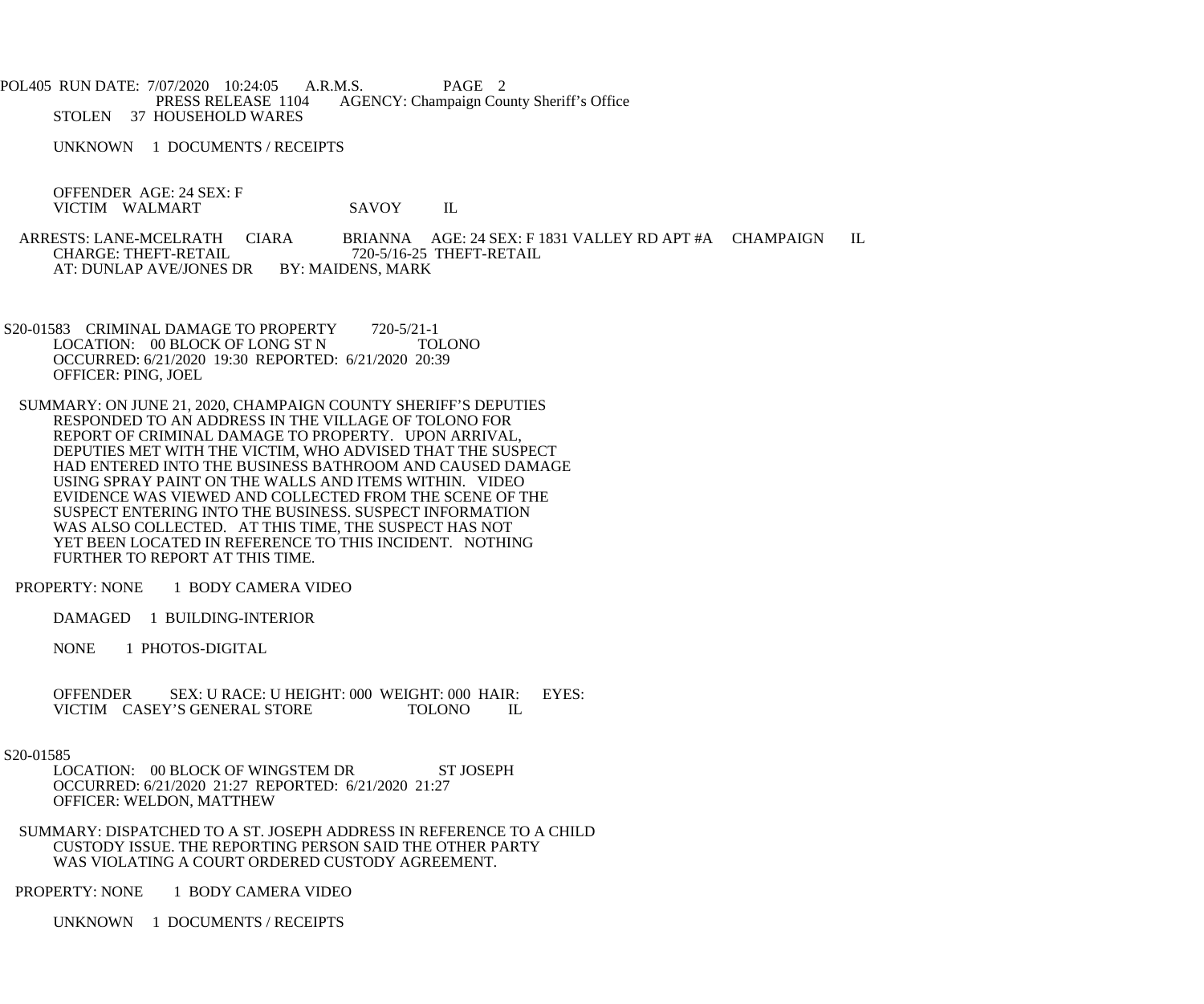POL405 RUN DATE: 7/07/2020 10:24:05 A.R.M.S. PAGE 2<br>PRESS RELEASE 1104 AGENCY: Champaign Cou AGENCY: Champaign County Sheriff's Office STOLEN 37 HOUSEHOLD WARES

UNKNOWN 1 DOCUMENTS / RECEIPTS

 OFFENDER AGE: 24 SEX: F VICTIM WALMART SAVOY IL

ARRESTS: LANE-MCELRATH CIARA BRIANNA AGE: 24 SEX: F 1831 VALLEY RD APT #A CHAMPAIGN IL<br>CHARGE: THEFT-RETAIL 720-5/16-25 THEFT-RETAIL 720-5/16-25 THEFT-RETAIL<br>BY: MAIDENS, MARK AT: DUNLAP AVE/JONES DR

S20-01583 CRIMINAL DAMAGE TO PROPERTY 720-5/21-1<br>LOCATION: 00 BLOCK OF LONG ST N TOLONO LOCATION: 00 BLOCK OF LONG ST N OCCURRED: 6/21/2020 19:30 REPORTED: 6/21/2020 20:39 OFFICER: PING, JOEL

 SUMMARY: ON JUNE 21, 2020, CHAMPAIGN COUNTY SHERIFF'S DEPUTIES RESPONDED TO AN ADDRESS IN THE VILLAGE OF TOLONO FOR REPORT OF CRIMINAL DAMAGE TO PROPERTY. UPON ARRIVAL, DEPUTIES MET WITH THE VICTIM, WHO ADVISED THAT THE SUSPECT HAD ENTERED INTO THE BUSINESS BATHROOM AND CAUSED DAMAGE USING SPRAY PAINT ON THE WALLS AND ITEMS WITHIN. VIDEO EVIDENCE WAS VIEWED AND COLLECTED FROM THE SCENE OF THE SUSPECT ENTERING INTO THE BUSINESS. SUSPECT INFORMATION WAS ALSO COLLECTED. AT THIS TIME, THE SUSPECT HAS NOT YET BEEN LOCATED IN REFERENCE TO THIS INCIDENT. NOTHING FURTHER TO REPORT AT THIS TIME.

PROPERTY: NONE 1 BODY CAMERA VIDEO

DAMAGED 1 BUILDING-INTERIOR

NONE 1 PHOTOS-DIGITAL

OFFENDER SEX: U RACE: U HEIGHT: 000 WEIGHT: 000 HAIR: EYES:<br>VICTIM CASEY'S GENERAL STORE TOLONO IL VICTIM CASEY'S GENERAL STORE

## S20-01585

LOCATION: 00 BLOCK OF WINGSTEM DR ST JOSEPH OCCURRED: 6/21/2020 21:27 REPORTED: 6/21/2020 21:27 OFFICER: WELDON, MATTHEW

 SUMMARY: DISPATCHED TO A ST. JOSEPH ADDRESS IN REFERENCE TO A CHILD CUSTODY ISSUE. THE REPORTING PERSON SAID THE OTHER PARTY WAS VIOLATING A COURT ORDERED CUSTODY AGREEMENT.

PROPERTY: NONE 1 BODY CAMERA VIDEO

UNKNOWN 1 DOCUMENTS / RECEIPTS